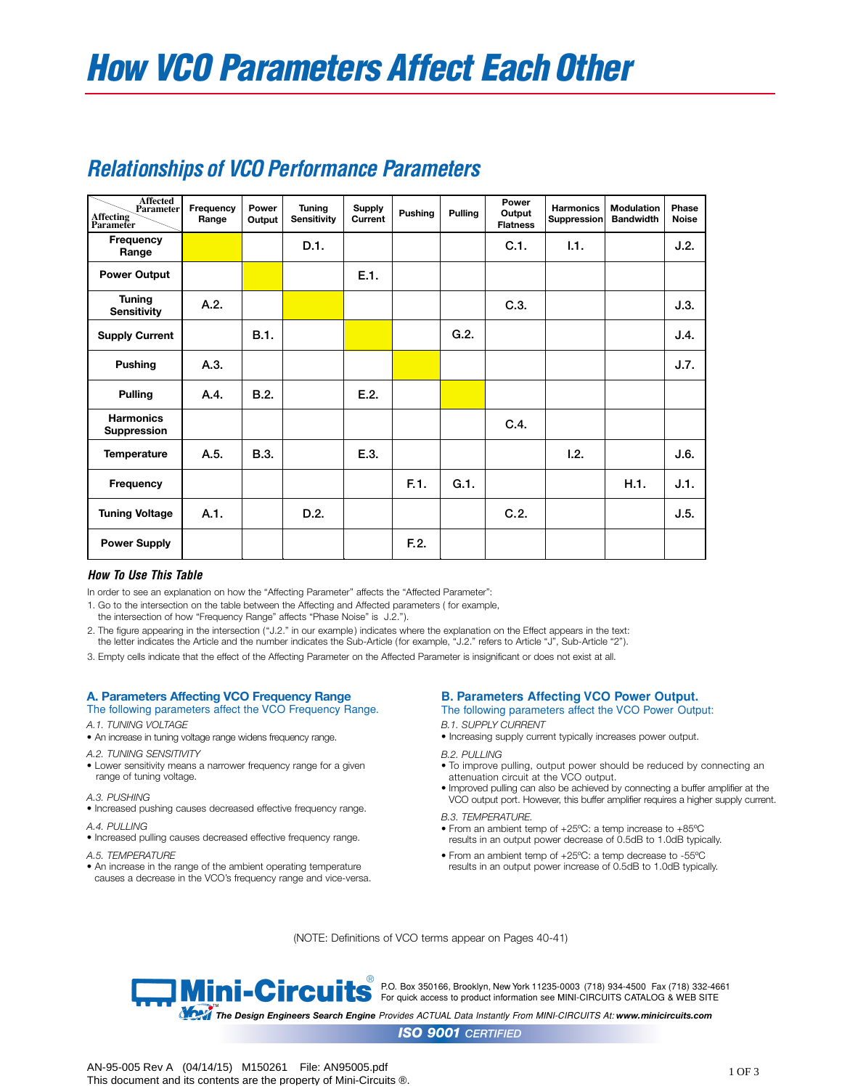| <b>Affected</b><br><b>Parameter</b><br>Affecting<br>Parameter | Frequency<br>Range | Power<br>Output | <b>Tuning</b><br><b>Sensitivity</b> | <b>Supply</b><br>Current | Pushing | Pulling | Power<br>Output<br><b>Flatness</b> | <b>Harmonics</b><br>Suppression | Modulation<br><b>Bandwidth</b> | Phase<br><b>Noise</b> |
|---------------------------------------------------------------|--------------------|-----------------|-------------------------------------|--------------------------|---------|---------|------------------------------------|---------------------------------|--------------------------------|-----------------------|
| Frequency<br>Range                                            |                    |                 | D.1.                                |                          |         |         | C.1.                               | 1.1.                            |                                | J.2.                  |
| <b>Power Output</b>                                           |                    |                 |                                     | E.1.                     |         |         |                                    |                                 |                                |                       |
| <b>Tuning</b><br><b>Sensitivity</b>                           | A.2.               |                 |                                     |                          |         |         | C.3.                               |                                 |                                | J.3.                  |
| <b>Supply Current</b>                                         |                    | <b>B.1.</b>     |                                     |                          |         | G.2.    |                                    |                                 |                                | J.4.                  |
| <b>Pushing</b>                                                | A.3.               |                 |                                     |                          |         |         |                                    |                                 |                                | J.7.                  |
| <b>Pulling</b>                                                | A.4.               | B.2.            |                                     | E.2.                     |         |         |                                    |                                 |                                |                       |
| <b>Harmonics</b><br><b>Suppression</b>                        |                    |                 |                                     |                          |         |         | C.4.                               |                                 |                                |                       |
| <b>Temperature</b>                                            | A.5.               | <b>B.3.</b>     |                                     | E.3.                     |         |         |                                    | 1.2.                            |                                | J.6.                  |
| Frequency                                                     |                    |                 |                                     |                          | F.1.    | G.1.    |                                    |                                 | H.1.                           | J.1.                  |
| <b>Tuning Voltage</b>                                         | A.1.               |                 | D.2.                                |                          |         |         | C.2.                               |                                 |                                | J.5.                  |
| <b>Power Supply</b>                                           |                    |                 |                                     |                          | F.2.    |         |                                    |                                 |                                |                       |

# *Relationships of VCO Performance Parameters*

# *How To Use This Table*

In order to see an explanation on how the "Affecting Parameter" affects the "Affected Parameter":

1. Go to the intersection on the table between the Affecting and Affected parameters ( for example,

the intersection of how "Frequency Range" affects "Phase Noise" is J.2.").

2. The figure appearing in the intersection ("J.2." in our example ) indicates where the explanation on the Effect appears in the text: the letter indicates the Article and the number indicates the Sub-Article (for example, "J.2." refers to Article "J", Sub-Article "2").

3. Empty cells indicate that the effect of the Affecting Parameter on the Affected Parameter is insignificant or does not exist at all.

# **A. Parameters Affecting VCO Frequency Range**

- The following parameters affect the VCO Frequency Range.
- *A.1. TUNING VOLTAGE*
- An increase in tuning voltage range widens frequency range.
- *A.2. TUNING SENSITIVITY*
- Lower sensitivity means a narrower frequency range for a given range of tuning voltage.
- *A.3. PUSHING*
- Increased pushing causes decreased effective frequency range.
- *A.4. PULLING*
- Increased pulling causes decreased effective frequency range.
- *A.5. TEMPERATURE*
- An increase in the range of the ambient operating temperature causes a decrease in the VCO's frequency range and vice-versa.

# **B. Parameters Affecting VCO Power Output.**

The following parameters affect the VCO Power Output:

# *B.1. SUPPLY CURRENT*

• Increasing supply current typically increases power output.

#### *B.2. PULLING*

- To improve pulling, output power should be reduced by connecting an attenuation circuit at the VCO output.
- Improved pulling can also be achieved by connecting a buffer amplifier at the VCO output port. However, this buffer amplifier requires a higher supply current.

#### *B.3. TEMPERATURE.*

- From an ambient temp of +25ºC: a temp increase to +85ºC results in an output power decrease of 0.5dB to 1.0dB typically.
- From an ambient temp of +25ºC: a temp decrease to -55ºC results in an output power increase of 0.5dB to 1.0dB typically.

(NOTE: Definitions of VCO terms appear on Pages 40-41)

®<br>● P.O. Box 350166, Brooklyn, New York 11235-0003(718) 934-4500 Fax (718) 332-4661 For quick access to product information see MINI-CIRCUITS CATALOG & WEB SITE

™<br>The Design Engineers Search Engine Provides ACTUAL Data Instantly From MINI-CIRCUITS At: www.minicircuits.com

*ISO 9001 CERTIFIED*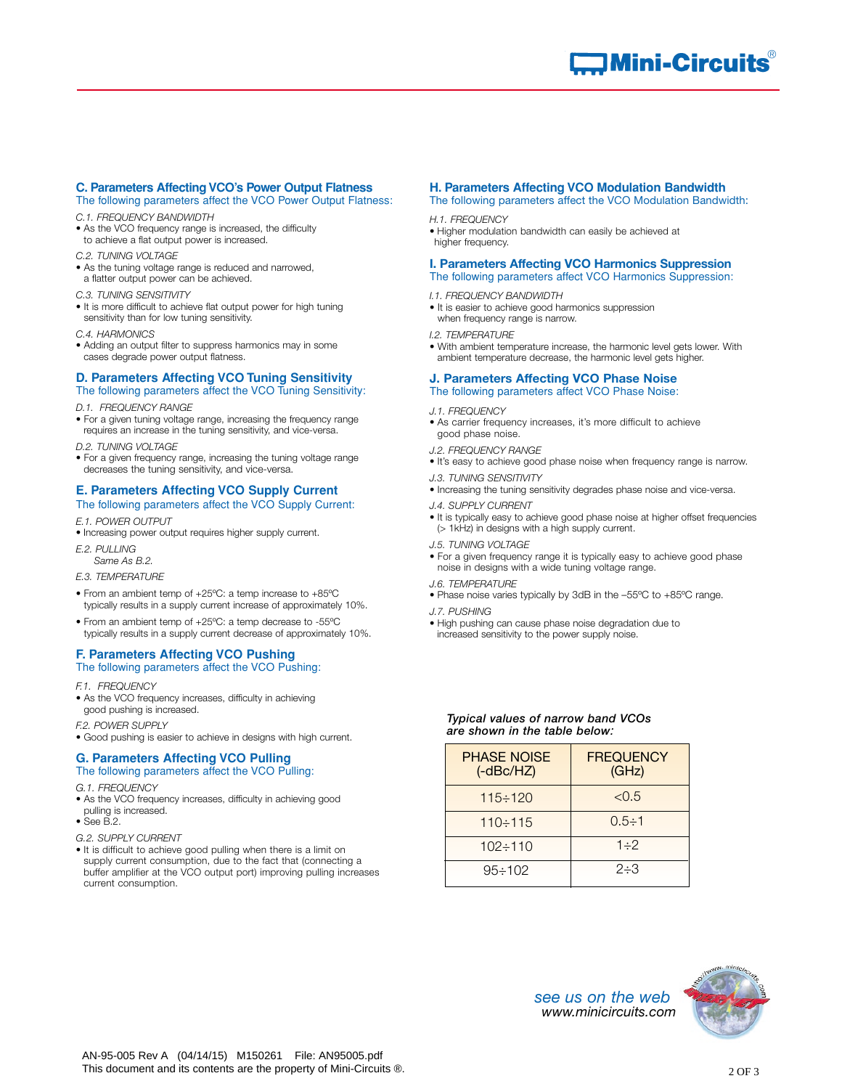#### **C. Parameters Affecting VCO's Power Output Flatness** The following parameters affect the VCO Power Output Flatness:

- *C.1. FREQUENCY BANDWIDTH*
- As the VCO frequency range is increased, the difficulty to achieve a flat output power is increased.
- *C.2. TUNING VOLTAGE*
- As the tuning voltage range is reduced and narrowed, a flatter output power can be achieved.
- *C.3. TUNING SENSITIVITY*
- It is more difficult to achieve flat output power for high tuning sensitivity than for low tuning sensitivity.
- *C.4. HARMONICS*
- Adding an output filter to suppress harmonics may in some cases degrade power output flatness.

# **D. Parameters Affecting VCO Tuning Sensitivity**

- The following parameters affect the VCO Tuning Sensitivity:
- *D.1. FREQUENCY RANGE*
- For a given tuning voltage range, increasing the frequency range requires an increase in the tuning sensitivity, and vice-versa.
- *D.2. TUNING VOLTAGE*
- For a given frequency range, increasing the tuning voltage range decreases the tuning sensitivity, and vice-versa.

# **E. Parameters Affecting VCO Supply Current**

- The following parameters affect the VCO Supply Current:
- *E.1. POWER OUTPUT*
- Increasing power output requires higher supply current.
- *E.2. PULLING*
- *Same As B.2.*
- *E.3. TEMPERATURE*
- From an ambient temp of +25ºC: a temp increase to +85ºC typically results in a supply current increase of approximately 10%.
- From an ambient temp of +25ºC: a temp decrease to -55ºC typically results in a supply current decrease of approximately 10%.

## **F. Parameters Affecting VCO Pushing** The following parameters affect the VCO Pushing:

*F.1. FREQUENCY* 

- As the VCO frequency increases, difficulty in achieving good pushing is increased.
- *F.2. POWER SUPPLY*
- Good pushing is easier to achieve in designs with high current.

# **G. Parameters Affecting VCO Pulling**

- The following parameters affect the VCO Pulling:
- *G.1. FREQUENCY*
- As the VCO frequency increases, difficulty in achieving good pulling is increased.
- $\bullet$  See B.2.
- *G.2. SUPPLY CURRENT*
- It is difficult to achieve good pulling when there is a limit on supply current consumption, due to the fact that (connecting a buffer amplifier at the VCO output port) improving pulling increases current consumption.

# **H. Parameters Affecting VCO Modulation Bandwidth**

The following parameters affect the VCO Modulation Bandwidth:

#### *H.1. FREQUENCY*

• Higher modulation bandwidth can easily be achieved at higher frequency.

## **I. Parameters Affecting VCO Harmonics Suppression**

- The following parameters affect VCO Harmonics Suppression:
- *I.1. FREQUENCY BANDWIDTH*
- It is easier to achieve good harmonics suppression when frequency range is narrow.
- 
- *I.2. TEMPERATURE* • With ambient temperature increase, the harmonic level gets lower. With ambient temperature decrease, the harmonic level gets higher.

#### **J. Parameters Affecting VCO Phase Noise** The following parameters affect VCO Phase Noise:

#### *J.1. FREQUENCY*

- As carrier frequency increases, it's more difficult to achieve good phase noise.
- *J.2. FREQUENCY RANGE*
- It's easy to achieve good phase noise when frequency range is narrow.
- *J.3. TUNING SENSITIVITY*
- Increasing the tuning sensitivity degrades phase noise and vice-versa.
- *J.4. SUPPLY CURRENT*
- It is typically easy to achieve good phase noise at higher offset frequencies (> 1kHz) in designs with a high supply current.
- *J.5. TUNING VOLTAGE*
- For a given frequency range it is typically easy to achieve good phase noise in designs with a wide tuning voltage range.
- *J.6. TEMPERATURE*
- Phase noise varies typically by 3dB in the –55ºC to +85ºC range.
- *J.7. PUSHING*
- High pushing can cause phase noise degradation due to
- increased sensitivity to the power supply noise.

### *Typical values of narrow band VCOs are shown in the table below:*

| <b>PHASE NOISE</b><br>$(-dBc/HZ)$ | <b>FREQUENCY</b><br>(GHz) |  |  |  |
|-----------------------------------|---------------------------|--|--|--|
| $115 \div 120$                    | < 0.5                     |  |  |  |
| $110 \div 115$                    | $0.5 \div 1$              |  |  |  |
| $102 \div 110$                    | $1 - 2$                   |  |  |  |
| $95 \div 102$                     | $2 - 3$                   |  |  |  |